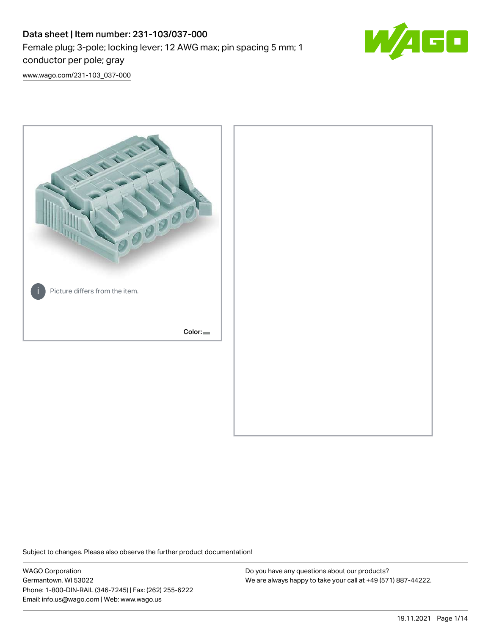# Data sheet | Item number: 231-103/037-000 Female plug; 3-pole; locking lever; 12 AWG max; pin spacing 5 mm; 1 conductor per pole; gray



[www.wago.com/231-103\\_037-000](http://www.wago.com/231-103_037-000)



Subject to changes. Please also observe the further product documentation!

WAGO Corporation Germantown, WI 53022 Phone: 1-800-DIN-RAIL (346-7245) | Fax: (262) 255-6222 Email: info.us@wago.com | Web: www.wago.us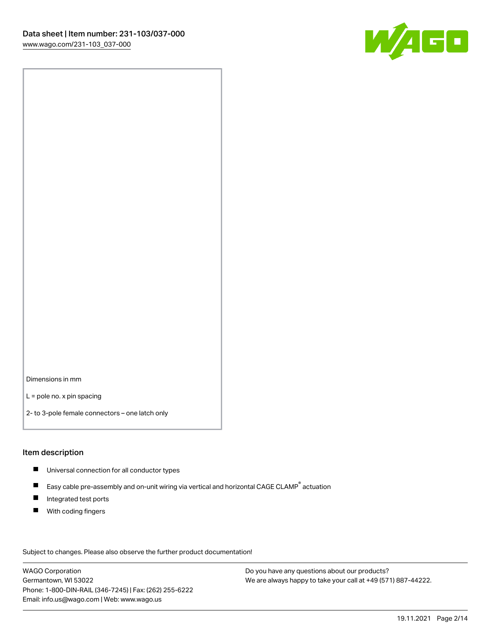

Dimensions in mm

L = pole no. x pin spacing

2- to 3-pole female connectors – one latch only

#### Item description

- **Universal connection for all conductor types**
- Easy cable pre-assembly and on-unit wiring via vertical and horizontal CAGE CLAMP<sup>®</sup> actuation  $\blacksquare$
- $\blacksquare$ Integrated test ports
- $\blacksquare$ With coding fingers

Subject to changes. Please also observe the further product documentation! Data

WAGO Corporation Germantown, WI 53022 Phone: 1-800-DIN-RAIL (346-7245) | Fax: (262) 255-6222 Email: info.us@wago.com | Web: www.wago.us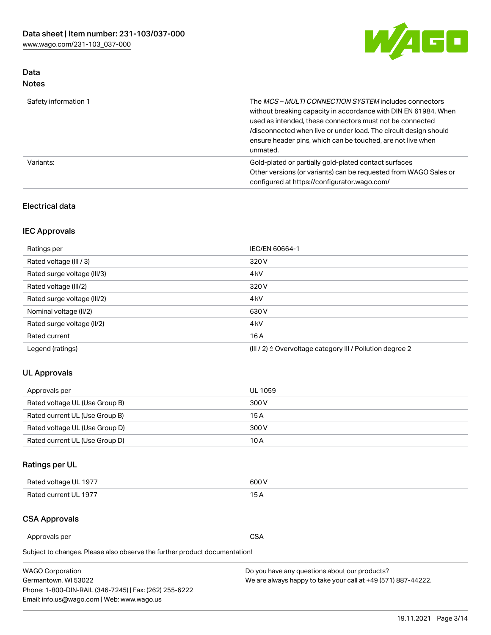

# Data Notes

| Safety information 1 | The MCS-MULTI CONNECTION SYSTEM includes connectors<br>without breaking capacity in accordance with DIN EN 61984. When<br>used as intended, these connectors must not be connected<br>/disconnected when live or under load. The circuit design should<br>ensure header pins, which can be touched, are not live when<br>unmated. |
|----------------------|-----------------------------------------------------------------------------------------------------------------------------------------------------------------------------------------------------------------------------------------------------------------------------------------------------------------------------------|
| Variants:            | Gold-plated or partially gold-plated contact surfaces<br>Other versions (or variants) can be requested from WAGO Sales or<br>configured at https://configurator.wago.com/                                                                                                                                                         |

### Electrical data

## IEC Approvals

| Ratings per                 | IEC/EN 60664-1                                                        |
|-----------------------------|-----------------------------------------------------------------------|
| Rated voltage (III / 3)     | 320 V                                                                 |
| Rated surge voltage (III/3) | 4 <sub>k</sub> V                                                      |
| Rated voltage (III/2)       | 320 V                                                                 |
| Rated surge voltage (III/2) | 4 <sub>k</sub> V                                                      |
| Nominal voltage (II/2)      | 630 V                                                                 |
| Rated surge voltage (II/2)  | 4 <sub>k</sub> V                                                      |
| Rated current               | 16 A                                                                  |
| Legend (ratings)            | $(III / 2)$ $\triangle$ Overvoltage category III / Pollution degree 2 |

## UL Approvals

| Approvals per                  | UL 1059 |
|--------------------------------|---------|
| Rated voltage UL (Use Group B) | 300 V   |
| Rated current UL (Use Group B) | 15 A    |
| Rated voltage UL (Use Group D) | 300 V   |
| Rated current UL (Use Group D) | 10 A    |

# Ratings per UL

| Rated voltage UL 1977 | 300 V |
|-----------------------|-------|
| Rated current UL 1977 |       |

#### CSA Approvals

Approvals per CSA

Subject to changes. Please also observe the further product documentation!

| <b>WAGO Corporation</b>                                | Do you have any questions about our products?                 |
|--------------------------------------------------------|---------------------------------------------------------------|
| Germantown, WI 53022                                   | We are always happy to take your call at +49 (571) 887-44222. |
| Phone: 1-800-DIN-RAIL (346-7245)   Fax: (262) 255-6222 |                                                               |
| Email: info.us@wago.com   Web: www.wago.us             |                                                               |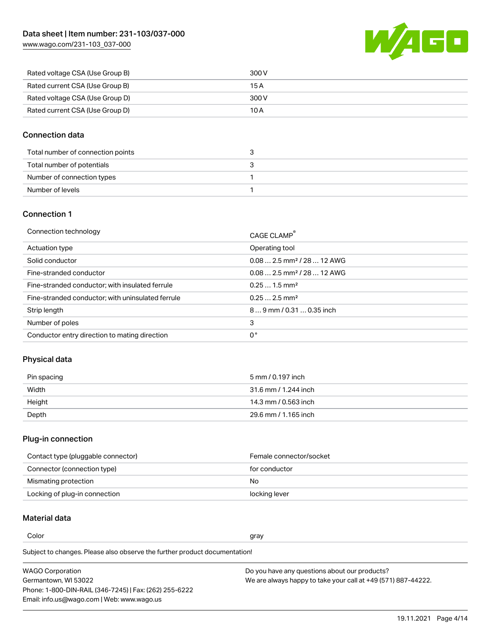[www.wago.com/231-103\\_037-000](http://www.wago.com/231-103_037-000)



| Rated voltage CSA (Use Group B) | 300 V |
|---------------------------------|-------|
| Rated current CSA (Use Group B) | 15 A  |
| Rated voltage CSA (Use Group D) | 300 V |
| Rated current CSA (Use Group D) | 10 A  |

## Connection data

| Total number of connection points |  |
|-----------------------------------|--|
| Total number of potentials        |  |
| Number of connection types        |  |
| Number of levels                  |  |

#### Connection 1

| Connection technology                             | CAGE CLAMP <sup>®</sup>                 |
|---------------------------------------------------|-----------------------------------------|
| Actuation type                                    | Operating tool                          |
| Solid conductor                                   | $0.082.5$ mm <sup>2</sup> / 28  12 AWG  |
| Fine-stranded conductor                           | $0.08$ 2.5 mm <sup>2</sup> / 28  12 AWG |
| Fine-stranded conductor; with insulated ferrule   | $0.251.5$ mm <sup>2</sup>               |
| Fine-stranded conductor; with uninsulated ferrule | $0.252.5$ mm <sup>2</sup>               |
| Strip length                                      | 89 mm / 0.31  0.35 inch                 |
| Number of poles                                   | 3                                       |
| Conductor entry direction to mating direction     | 0°                                      |

# Physical data

| Pin spacing | 5 mm / 0.197 inch    |
|-------------|----------------------|
| Width       | 31.6 mm / 1.244 inch |
| Height      | 14.3 mm / 0.563 inch |
| Depth       | 29.6 mm / 1.165 inch |

#### Plug-in connection

| Contact type (pluggable connector) | Female connector/socket |
|------------------------------------|-------------------------|
| Connector (connection type)        | for conductor           |
| Mismating protection               | No.                     |
| Locking of plug-in connection      | locking lever           |

# Material data

Color and the color of the color of the color of the color of the color of the color of the color of the color

Subject to changes. Please also observe the further product documentation! Material group I

| <b>WAGO Corporation</b>                                | Do you have any questions about our products?                 |
|--------------------------------------------------------|---------------------------------------------------------------|
| Germantown, WI 53022                                   | We are always happy to take your call at +49 (571) 887-44222. |
| Phone: 1-800-DIN-RAIL (346-7245)   Fax: (262) 255-6222 |                                                               |
| Email: info.us@wago.com   Web: www.wago.us             |                                                               |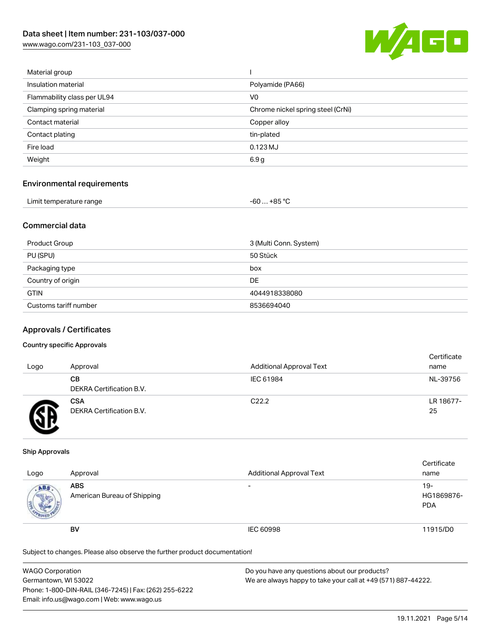[www.wago.com/231-103\\_037-000](http://www.wago.com/231-103_037-000)



| Material group              |                                   |
|-----------------------------|-----------------------------------|
| Insulation material         | Polyamide (PA66)                  |
| Flammability class per UL94 | V <sub>0</sub>                    |
| Clamping spring material    | Chrome nickel spring steel (CrNi) |
| Contact material            | Copper alloy                      |
| Contact plating             | tin-plated                        |
| Fire load                   | 0.123 MJ                          |
| Weight                      | 6.9 <sub>g</sub>                  |
|                             |                                   |

#### Environmental requirements

| Limit temperature range | $-60+85 °C$ |
|-------------------------|-------------|
|-------------------------|-------------|

## Commercial data

| Product Group         | 3 (Multi Conn. System) |
|-----------------------|------------------------|
| PU (SPU)              | 50 Stück               |
| Packaging type        | box                    |
| Country of origin     | DE                     |
| <b>GTIN</b>           | 4044918338080          |
| Customs tariff number | 8536694040             |

#### Approvals / Certificates

#### Country specific Approvals

| Logo | Approval                               | <b>Additional Approval Text</b> | Certificate<br>name |
|------|----------------------------------------|---------------------------------|---------------------|
|      | CВ<br>DEKRA Certification B.V.         | IEC 61984                       | NL-39756            |
|      | <b>CSA</b><br>DEKRA Certification B.V. | C <sub>22.2</sub>               | LR 18677-<br>25     |

#### Ship Approvals

| Logo | Approval                                  | <b>Additional Approval Text</b> | Certificate<br>name                |
|------|-------------------------------------------|---------------------------------|------------------------------------|
| ABS  | <b>ABS</b><br>American Bureau of Shipping | $\overline{\phantom{0}}$        | $19 -$<br>HG1869876-<br><b>PDA</b> |
|      | <b>BV</b>                                 | IEC 60998                       | 11915/D0                           |

Subject to changes. Please also observe the further product documentation!

| <b>WAGO Corporation</b>                                | Do you have any questions about our products?                 |
|--------------------------------------------------------|---------------------------------------------------------------|
| Germantown, WI 53022                                   | We are always happy to take your call at +49 (571) 887-44222. |
| Phone: 1-800-DIN-RAIL (346-7245)   Fax: (262) 255-6222 |                                                               |
| Email: info.us@wago.com   Web: www.wago.us             |                                                               |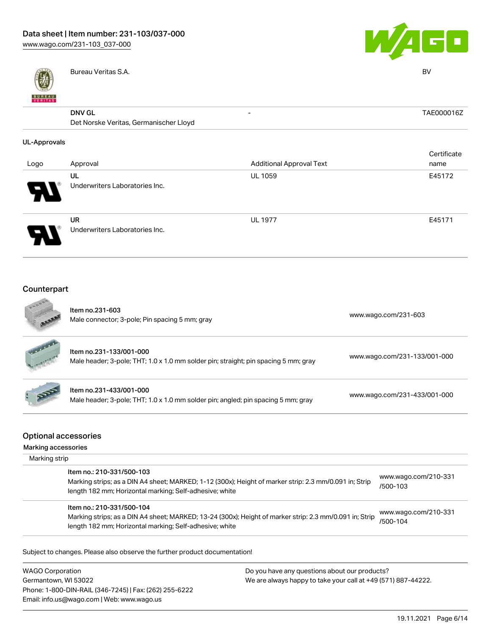

Email: info.us@wago.com | Web: www.wago.us



|                     | Bureau Veritas S.A.                    |                                 | <b>BV</b>   |
|---------------------|----------------------------------------|---------------------------------|-------------|
| <b>BUNEAU</b>       |                                        |                                 |             |
|                     | <b>DNV GL</b>                          |                                 | TAE000016Z  |
|                     | Det Norske Veritas, Germanischer Lloyd |                                 |             |
| <b>UL-Approvals</b> |                                        |                                 |             |
|                     |                                        |                                 | Certificate |
| Logo                | Approval                               | <b>Additional Approval Text</b> | name        |
|                     | UL                                     | <b>UL 1059</b>                  | E45172      |
|                     | Underwriters Laboratories Inc.         |                                 |             |
|                     | <b>UR</b>                              | <b>UL 1977</b>                  | E45171      |
|                     | Underwriters Laboratories Inc.         |                                 |             |
|                     |                                        |                                 |             |
| Counterpart         |                                        |                                 |             |
| <b>CONTRACTOR</b>   |                                        |                                 |             |

|                                      | Item no.231-603<br>Male connector; 3-pole; Pin spacing 5 mm; gray                                              |                                                               | www.wago.com/231-603             |
|--------------------------------------|----------------------------------------------------------------------------------------------------------------|---------------------------------------------------------------|----------------------------------|
|                                      | Item no.231-133/001-000<br>Male header; 3-pole; THT; 1.0 x 1.0 mm solder pin; straight; pin spacing 5 mm; gray |                                                               | www.wago.com/231-133/001-000     |
|                                      | Item no.231-433/001-000<br>Male header; 3-pole; THT; 1.0 x 1.0 mm solder pin; angled; pin spacing 5 mm; gray   |                                                               | www.wago.com/231-433/001-000     |
| <b>Optional accessories</b>          |                                                                                                                |                                                               |                                  |
| Marking accessories<br>Marking strip |                                                                                                                |                                                               |                                  |
|                                      | Item no.: 210-331/500-103                                                                                      |                                                               |                                  |
|                                      | Marking strips; as a DIN A4 sheet; MARKED; 1-12 (300x); Height of marker strip: 2.3 mm/0.091 in; Strip         |                                                               | www.wago.com/210-331             |
|                                      | length 182 mm; Horizontal marking; Self-adhesive; white                                                        |                                                               | /500-103                         |
|                                      | Item no.: 210-331/500-104                                                                                      |                                                               |                                  |
|                                      | Marking strips; as a DIN A4 sheet; MARKED; 13-24 (300x); Height of marker strip: 2.3 mm/0.091 in; Strip        |                                                               | www.wago.com/210-331<br>/500-104 |
|                                      | length 182 mm; Horizontal marking; Self-adhesive; white                                                        |                                                               |                                  |
|                                      | Subject to changes. Please also observe the further product documentation!                                     |                                                               |                                  |
| <b>WAGO Corporation</b>              |                                                                                                                | Do you have any questions about our products?                 |                                  |
| Germantown, WI 53022                 |                                                                                                                | We are always happy to take your call at +49 (571) 887-44222. |                                  |
|                                      | Phone: 1-800-DIN-RAIL (346-7245)   Fax: (262) 255-6222                                                         |                                                               |                                  |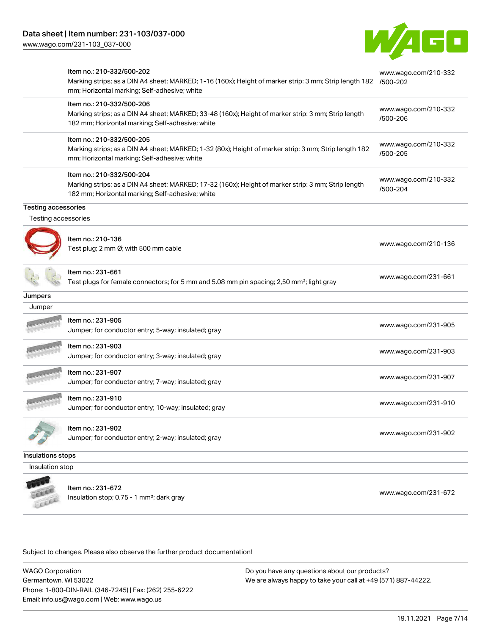

|                            | Item no.: 210-332/500-202<br>Marking strips; as a DIN A4 sheet; MARKED; 1-16 (160x); Height of marker strip: 3 mm; Strip length 182<br>mm; Horizontal marking; Self-adhesive; white  | www.wago.com/210-332<br>/500-202 |
|----------------------------|--------------------------------------------------------------------------------------------------------------------------------------------------------------------------------------|----------------------------------|
|                            | Item no.: 210-332/500-206<br>Marking strips; as a DIN A4 sheet; MARKED; 33-48 (160x); Height of marker strip: 3 mm; Strip length<br>182 mm; Horizontal marking; Self-adhesive; white | www.wago.com/210-332<br>/500-206 |
|                            | Item no.: 210-332/500-205<br>Marking strips; as a DIN A4 sheet; MARKED; 1-32 (80x); Height of marker strip: 3 mm; Strip length 182<br>mm; Horizontal marking; Self-adhesive; white   | www.wago.com/210-332<br>/500-205 |
|                            | Item no.: 210-332/500-204<br>Marking strips; as a DIN A4 sheet; MARKED; 17-32 (160x); Height of marker strip: 3 mm; Strip length<br>182 mm; Horizontal marking; Self-adhesive; white | www.wago.com/210-332<br>/500-204 |
| <b>Testing accessories</b> |                                                                                                                                                                                      |                                  |
| Testing accessories        |                                                                                                                                                                                      |                                  |
|                            | Item no.: 210-136<br>Test plug; 2 mm Ø; with 500 mm cable                                                                                                                            | www.wago.com/210-136             |
|                            | ltem no.: 231-661<br>Test plugs for female connectors; for 5 mm and 5.08 mm pin spacing; 2,50 mm <sup>2</sup> ; light gray                                                           | www.wago.com/231-661             |
| Jumpers                    |                                                                                                                                                                                      |                                  |
| Jumper                     |                                                                                                                                                                                      |                                  |
|                            | Item no.: 231-905<br>Jumper; for conductor entry; 5-way; insulated; gray                                                                                                             | www.wago.com/231-905             |
|                            | Item no.: 231-903<br>Jumper; for conductor entry; 3-way; insulated; gray                                                                                                             | www.wago.com/231-903             |
|                            | Item no.: 231-907<br>Jumper; for conductor entry; 7-way; insulated; gray                                                                                                             | www.wago.com/231-907             |
|                            | Item no.: 231-910<br>Jumper; for conductor entry; 10-way; insulated; gray                                                                                                            | www.wago.com/231-910             |
|                            | Item no.: 231-902<br>Jumper; for conductor entry; 2-way; insulated; gray                                                                                                             | www.wago.com/231-902             |
| Insulations stops          |                                                                                                                                                                                      |                                  |
| Insulation stop            |                                                                                                                                                                                      |                                  |
|                            | Item no.: 231-672<br>$neulation of 0.75 - 1 mm2 dark array$                                                                                                                          | www.wago.com/231-672             |

Insulation stop; 0.75 - 1 mm²; dark gray [www.wago.com/231-672](http://www.wago.com/231-672)

Subject to changes. Please also observe the further product documentation!

WAGO Corporation Germantown, WI 53022 Phone: 1-800-DIN-RAIL (346-7245) | Fax: (262) 255-6222 Email: info.us@wago.com | Web: www.wago.us

LEEEE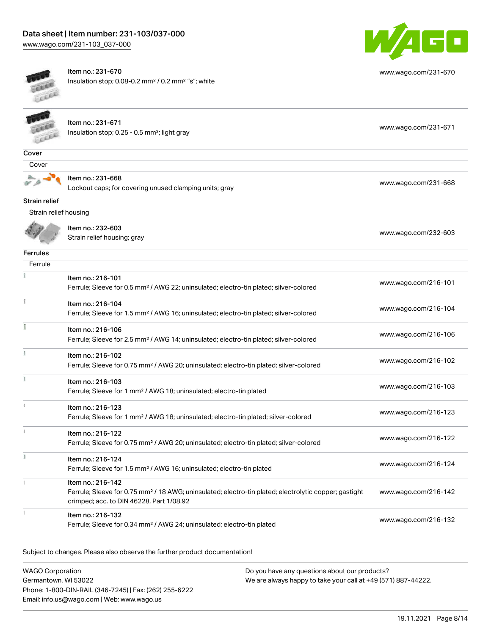

[www.wago.com/231-670](http://www.wago.com/231-670)



Item no.: 231-670 Insulation stop; 0.08-0.2 mm² / 0.2 mm² "s"; white



Item no.: 231-671 Item ito... 231-071<br>Insulation stop; 0.25 - 0.5 mm²; light gray [www.wago.com/231-671](http://www.wago.com/231-671)

[www.wago.com/232-603](http://www.wago.com/232-603)

| ۳<br>٠    |  |
|-----------|--|
| . .<br>э. |  |



Strain relief

Item no.: 231-668 Lockout caps; for covering unused clamping units; gray [www.wago.com/231-668](http://www.wago.com/231-668)

| Strain relief housing |                                                  |  |  |
|-----------------------|--------------------------------------------------|--|--|
|                       | Item no.: 232-603<br>Strain relief housing; gray |  |  |
| <b>Ferrules</b>       |                                                  |  |  |
| Ferrule               |                                                  |  |  |

| Item no.: 216-101<br>Ferrule; Sleeve for 0.5 mm <sup>2</sup> / AWG 22; uninsulated; electro-tin plated; silver-colored                                                             | www.wago.com/216-101 |
|------------------------------------------------------------------------------------------------------------------------------------------------------------------------------------|----------------------|
| Item no.: 216-104<br>Ferrule; Sleeve for 1.5 mm <sup>2</sup> / AWG 16; uninsulated; electro-tin plated; silver-colored                                                             | www.wago.com/216-104 |
| Item no.: 216-106<br>Ferrule; Sleeve for 2.5 mm <sup>2</sup> / AWG 14; uninsulated; electro-tin plated; silver-colored                                                             | www.wago.com/216-106 |
| Item no.: 216-102<br>Ferrule; Sleeve for 0.75 mm <sup>2</sup> / AWG 20; uninsulated; electro-tin plated; silver-colored                                                            | www.wago.com/216-102 |
| Item no.: 216-103<br>Ferrule; Sleeve for 1 mm <sup>2</sup> / AWG 18; uninsulated; electro-tin plated                                                                               | www.wago.com/216-103 |
| Item no.: 216-123<br>Ferrule; Sleeve for 1 mm <sup>2</sup> / AWG 18; uninsulated; electro-tin plated; silver-colored                                                               | www.wago.com/216-123 |
| Item no.: 216-122<br>Ferrule; Sleeve for 0.75 mm <sup>2</sup> / AWG 20; uninsulated; electro-tin plated; silver-colored                                                            | www.wago.com/216-122 |
| Item no.: 216-124<br>Ferrule; Sleeve for 1.5 mm <sup>2</sup> / AWG 16; uninsulated; electro-tin plated                                                                             | www.wago.com/216-124 |
| Item no.: 216-142<br>Ferrule; Sleeve for 0.75 mm <sup>2</sup> / 18 AWG; uninsulated; electro-tin plated; electrolytic copper; gastight<br>crimped; acc. to DIN 46228, Part 1/08.92 | www.wago.com/216-142 |
| Item no.: 216-132<br>Ferrule; Sleeve for 0.34 mm <sup>2</sup> / AWG 24; uninsulated; electro-tin plated                                                                            | www.wago.com/216-132 |

Subject to changes. Please also observe the further product documentation!

WAGO Corporation Germantown, WI 53022 Phone: 1-800-DIN-RAIL (346-7245) | Fax: (262) 255-6222 Email: info.us@wago.com | Web: www.wago.us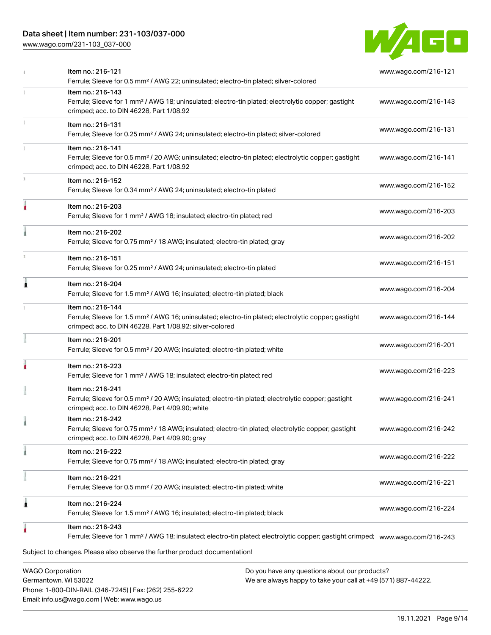# Data sheet | Item number: 231-103/037-000

[www.wago.com/231-103\\_037-000](http://www.wago.com/231-103_037-000)



|   | Item no.: 216-121<br>Ferrule; Sleeve for 0.5 mm <sup>2</sup> / AWG 22; uninsulated; electro-tin plated; silver-colored                                                                            | www.wago.com/216-121 |
|---|---------------------------------------------------------------------------------------------------------------------------------------------------------------------------------------------------|----------------------|
|   | Item no.: 216-143<br>Ferrule; Sleeve for 1 mm <sup>2</sup> / AWG 18; uninsulated; electro-tin plated; electrolytic copper; gastight<br>crimped; acc. to DIN 46228, Part 1/08.92                   | www.wago.com/216-143 |
|   | Item no.: 216-131<br>Ferrule; Sleeve for 0.25 mm <sup>2</sup> / AWG 24; uninsulated; electro-tin plated; silver-colored                                                                           | www.wago.com/216-131 |
|   | Item no.: 216-141<br>Ferrule; Sleeve for 0.5 mm <sup>2</sup> / 20 AWG; uninsulated; electro-tin plated; electrolytic copper; gastight<br>crimped; acc. to DIN 46228, Part 1/08.92                 | www.wago.com/216-141 |
|   | Item no.: 216-152<br>Ferrule; Sleeve for 0.34 mm <sup>2</sup> / AWG 24; uninsulated; electro-tin plated                                                                                           | www.wago.com/216-152 |
|   | Item no.: 216-203<br>Ferrule; Sleeve for 1 mm <sup>2</sup> / AWG 18; insulated; electro-tin plated; red                                                                                           | www.wago.com/216-203 |
|   | Item no.: 216-202<br>Ferrule; Sleeve for 0.75 mm <sup>2</sup> / 18 AWG; insulated; electro-tin plated; gray                                                                                       | www.wago.com/216-202 |
|   | Item no.: 216-151<br>Ferrule; Sleeve for 0.25 mm <sup>2</sup> / AWG 24; uninsulated; electro-tin plated                                                                                           | www.wago.com/216-151 |
|   | Item no.: 216-204<br>Ferrule; Sleeve for 1.5 mm <sup>2</sup> / AWG 16; insulated; electro-tin plated; black                                                                                       | www.wago.com/216-204 |
|   | Item no.: 216-144<br>Ferrule; Sleeve for 1.5 mm <sup>2</sup> / AWG 16; uninsulated; electro-tin plated; electrolytic copper; gastight<br>crimped; acc. to DIN 46228, Part 1/08.92; silver-colored | www.wago.com/216-144 |
|   | Item no.: 216-201<br>Ferrule; Sleeve for 0.5 mm <sup>2</sup> / 20 AWG; insulated; electro-tin plated; white                                                                                       | www.wago.com/216-201 |
|   | Item no.: 216-223<br>Ferrule; Sleeve for 1 mm <sup>2</sup> / AWG 18; insulated; electro-tin plated; red                                                                                           | www.wago.com/216-223 |
|   | Item no.: 216-241<br>Ferrule; Sleeve for 0.5 mm <sup>2</sup> / 20 AWG; insulated; electro-tin plated; electrolytic copper; gastight<br>crimped; acc. to DIN 46228, Part 4/09.90; white            | www.wago.com/216-241 |
|   | Item no.: 216-242<br>Ferrule; Sleeve for 0.75 mm <sup>2</sup> / 18 AWG; insulated; electro-tin plated; electrolytic copper; gastight<br>crimped; acc. to DIN 46228, Part 4/09.90; gray            | www.wago.com/216-242 |
|   | Item no.: 216-222<br>Ferrule; Sleeve for 0.75 mm <sup>2</sup> / 18 AWG; insulated; electro-tin plated; gray                                                                                       | www.wago.com/216-222 |
|   | Item no.: 216-221<br>Ferrule; Sleeve for 0.5 mm <sup>2</sup> / 20 AWG; insulated; electro-tin plated; white                                                                                       | www.wago.com/216-221 |
| 1 | Item no.: 216-224<br>Ferrule; Sleeve for 1.5 mm <sup>2</sup> / AWG 16; insulated; electro-tin plated; black                                                                                       | www.wago.com/216-224 |
|   | Item no.: 216-243<br>Ferrule; Sleeve for 1 mm <sup>2</sup> / AWG 18; insulated; electro-tin plated; electrolytic copper; gastight crimped; www.waqo.com/216-243                                   |                      |
|   | Subject to changes. Please also observe the further product documentation!                                                                                                                        |                      |
|   | <b>WAGO Corporation</b><br>Do you have any questions about our products?                                                                                                                          |                      |

Germantown, WI 53022 Phone: 1-800-DIN-RAIL (346-7245) | Fax: (262) 255-6222 Email: info.us@wago.com | Web: www.wago.us

 $\overline{\phantom{\alpha}}$  any questions about o We are always happy to take your call at +49 (571) 887-44222.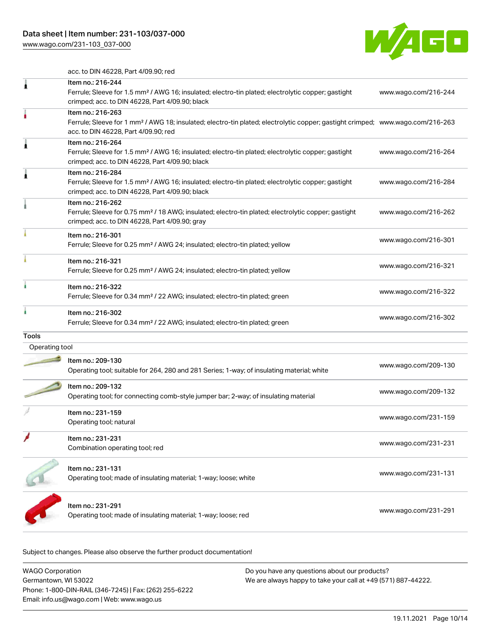[www.wago.com/231-103\\_037-000](http://www.wago.com/231-103_037-000)



acc. to DIN 46228, Part 4/09.90; red

|                | Item no.: 216-244<br>Ferrule; Sleeve for 1.5 mm <sup>2</sup> / AWG 16; insulated; electro-tin plated; electrolytic copper; gastight<br>crimped; acc. to DIN 46228, Part 4/09.90; black                  | www.wago.com/216-244 |
|----------------|---------------------------------------------------------------------------------------------------------------------------------------------------------------------------------------------------------|----------------------|
|                | Item no.: 216-263<br>Ferrule; Sleeve for 1 mm <sup>2</sup> / AWG 18; insulated; electro-tin plated; electrolytic copper; gastight crimped; www.wago.com/216-263<br>acc. to DIN 46228, Part 4/09.90; red |                      |
|                | Item no.: 216-264<br>Ferrule; Sleeve for 1.5 mm <sup>2</sup> / AWG 16; insulated; electro-tin plated; electrolytic copper; gastight<br>crimped; acc. to DIN 46228, Part 4/09.90; black                  | www.wago.com/216-264 |
|                | Item no.: 216-284<br>Ferrule; Sleeve for 1.5 mm <sup>2</sup> / AWG 16; insulated; electro-tin plated; electrolytic copper; gastight<br>crimped; acc. to DIN 46228, Part 4/09.90; black                  | www.wago.com/216-284 |
|                | Item no.: 216-262<br>Ferrule; Sleeve for 0.75 mm <sup>2</sup> / 18 AWG; insulated; electro-tin plated; electrolytic copper; gastight<br>crimped; acc. to DIN 46228, Part 4/09.90; gray                  | www.wago.com/216-262 |
|                | Item no.: 216-301<br>Ferrule; Sleeve for 0.25 mm <sup>2</sup> / AWG 24; insulated; electro-tin plated; yellow                                                                                           | www.wago.com/216-301 |
|                | Item no.: 216-321<br>Ferrule; Sleeve for 0.25 mm <sup>2</sup> / AWG 24; insulated; electro-tin plated; yellow                                                                                           | www.wago.com/216-321 |
|                | Item no.: 216-322<br>Ferrule; Sleeve for 0.34 mm <sup>2</sup> / 22 AWG; insulated; electro-tin plated; green                                                                                            | www.wago.com/216-322 |
|                | Item no.: 216-302<br>Ferrule; Sleeve for 0.34 mm <sup>2</sup> / 22 AWG; insulated; electro-tin plated; green                                                                                            | www.wago.com/216-302 |
| Tools          |                                                                                                                                                                                                         |                      |
| Operating tool |                                                                                                                                                                                                         |                      |
|                | Item no.: 209-130<br>Operating tool; suitable for 264, 280 and 281 Series; 1-way; of insulating material; white                                                                                         | www.wago.com/209-130 |
|                | Item no.: 209-132<br>Operating tool; for connecting comb-style jumper bar; 2-way; of insulating material                                                                                                | www.wago.com/209-132 |
|                | Item no.: 231-159<br>Operating tool; natural                                                                                                                                                            | www.wago.com/231-159 |
|                | Item no.: 231-231<br>Combination operating tool; red                                                                                                                                                    | www.wago.com/231-231 |
|                | Item no.: 231-131<br>Operating tool; made of insulating material; 1-way; loose; white                                                                                                                   | www.wago.com/231-131 |
|                | Item no.: 231-291<br>Operating tool; made of insulating material; 1-way; loose; red                                                                                                                     | www.wago.com/231-291 |
|                |                                                                                                                                                                                                         |                      |

Subject to changes. Please also observe the further product documentation!

| WAGO Corporation                                       | Do you have any questions about our products?                 |  |  |
|--------------------------------------------------------|---------------------------------------------------------------|--|--|
| Germantown, WI 53022                                   | We are always happy to take your call at +49 (571) 887-44222. |  |  |
| Phone: 1-800-DIN-RAIL (346-7245)   Fax: (262) 255-6222 |                                                               |  |  |
| Email: info.us@wago.com   Web: www.wago.us             |                                                               |  |  |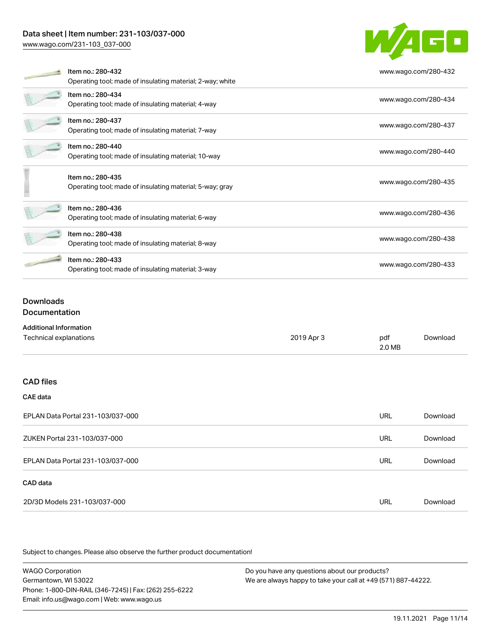# Data sheet | Item number: 231-103/037-000

[www.wago.com/231-103\\_037-000](http://www.wago.com/231-103_037-000)



|  | Item no.: 280-432                                         | www.wago.com/280-432 |
|--|-----------------------------------------------------------|----------------------|
|  | Operating tool; made of insulating material; 2-way; white |                      |
|  | Item no.: 280-434                                         | www.wago.com/280-434 |
|  | Operating tool; made of insulating material; 4-way        |                      |
|  | Item no.: 280-437                                         |                      |
|  | Operating tool; made of insulating material; 7-way        | www.wago.com/280-437 |
|  | Item no.: 280-440                                         | www.wago.com/280-440 |
|  | Operating tool; made of insulating material; 10-way       |                      |
|  | Item no.: 280-435                                         | www.wago.com/280-435 |
|  | Operating tool; made of insulating material; 5-way; gray  |                      |
|  | Item no.: 280-436                                         |                      |
|  | Operating tool; made of insulating material; 6-way        | www.wago.com/280-436 |
|  | Item no.: 280-438                                         |                      |
|  | Operating tool; made of insulating material; 8-way        | www.wago.com/280-438 |
|  | Item no.: 280-433                                         | www.wago.com/280-433 |
|  | Operating tool; made of insulating material; 3-way        |                      |

## Downloads **Documentation**

| <b>Additional Information</b> |            |        |          |  |  |  |
|-------------------------------|------------|--------|----------|--|--|--|
| Technical explanations        | 2019 Apr 3 | pdf    | Download |  |  |  |
|                               |            | 2.0 MB |          |  |  |  |

#### CAD files

## CAE data

| EPLAN Data Portal 231-103/037-000 |     | Download |
|-----------------------------------|-----|----------|
| ZUKEN Portal 231-103/037-000      | URL | Download |
| EPLAN Data Portal 231-103/037-000 | URL | Download |
| CAD data                          |     |          |
| 2D/3D Models 231-103/037-000      | URL | Download |

Subject to changes. Please also observe the further product documentation!

WAGO Corporation Germantown, WI 53022 Phone: 1-800-DIN-RAIL (346-7245) | Fax: (262) 255-6222 Email: info.us@wago.com | Web: www.wago.us Do you have any questions about our products? We are always happy to take your call at +49 (571) 887-44222.

19.11.2021 Page 11/14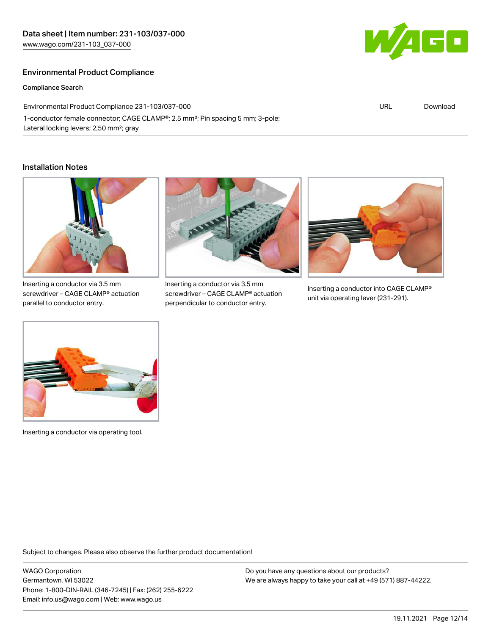## Environmental Product Compliance

Compliance Search

Environmental Product Compliance 231-103/037-000 1-conductor female connector; CAGE CLAMP®; 2.5 mm²; Pin spacing 5 mm; 3-pole; Lateral locking levers; 2,50 mm²; gray

#### Installation Notes



Inserting a conductor via 3.5 mm screwdriver – CAGE CLAMP® actuation parallel to conductor entry.



Inserting a conductor via 3.5 mm screwdriver – CAGE CLAMP® actuation perpendicular to conductor entry.



Inserting a conductor into CAGE CLAMP® unit via operating lever (231-291).



Inserting a conductor via operating tool.

Subject to changes. Please also observe the further product documentation!

WAGO Corporation Germantown, WI 53022 Phone: 1-800-DIN-RAIL (346-7245) | Fax: (262) 255-6222 Email: info.us@wago.com | Web: www.wago.us

Do you have any questions about our products? We are always happy to take your call at +49 (571) 887-44222.



URL [Download](https://www.wago.com/global/d/ComplianceLinkMediaContainer_231-103_037-000)

19.11.2021 Page 12/14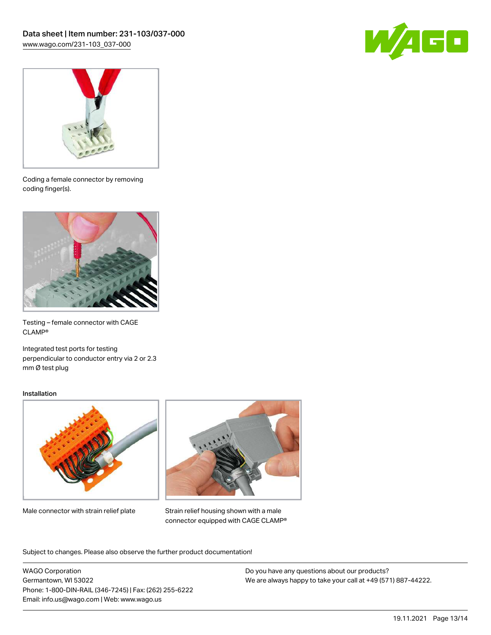



Coding a female connector by removing coding finger(s).



Testing – female connector with CAGE CLAMP®

Integrated test ports for testing perpendicular to conductor entry via 2 or 2.3 mm Ø test plug

#### Installation



Male connector with strain relief plate



Strain relief housing shown with a male connector equipped with CAGE CLAMP®

Subject to changes. Please also observe the further product documentation!

WAGO Corporation Germantown, WI 53022 Phone: 1-800-DIN-RAIL (346-7245) | Fax: (262) 255-6222 Email: info.us@wago.com | Web: www.wago.us